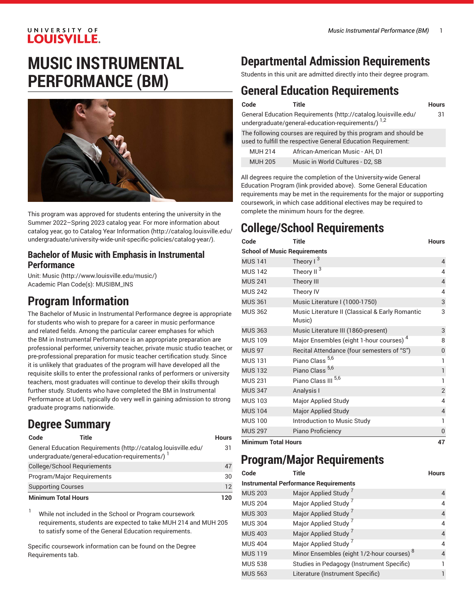### UNIVERSITY OF **LOUISVILLE.**

# **MUSIC INSTRUMENTAL PERFORMANCE (BM)**



This program was approved for students entering the university in the Summer 2022–Spring 2023 catalog year. For more information about catalog year, go to Catalog Year [Information](http://catalog.louisville.edu/undergraduate/university-wide-unit-specific-policies/catalog-year/) ([http://catalog.louisville.edu/](http://catalog.louisville.edu/undergraduate/university-wide-unit-specific-policies/catalog-year/) [undergraduate/university-wide-unit-specific-policies/catalog-year/](http://catalog.louisville.edu/undergraduate/university-wide-unit-specific-policies/catalog-year/)).

### **Bachelor of Music with Emphasis in Instrumental Performance**

Unit: [Music \(http://www.louisville.edu/music/](http://www.louisville.edu/music/)) Academic Plan Code(s): MUSIBM\_INS

# **Program Information**

The Bachelor of Music in Instrumental Performance degree is appropriate for students who wish to prepare for a career in music performance and related fields. Among the particular career emphases for which the BM in Instrumental Performance is an appropriate preparation are professional performer, university teacher, private music studio teacher, or pre-professional preparation for music teacher certification study. Since it is unlikely that graduates of the program will have developed all the requisite skills to enter the professional ranks of performers or university teachers, most graduates will continue to develop their skills through further study. Students who have completed the BM in Instrumental Performance at UofL typically do very well in gaining admission to strong graduate programs nationwide.

# **Degree Summary**

| Code                       | Title                                                                                                              | Hours |
|----------------------------|--------------------------------------------------------------------------------------------------------------------|-------|
|                            | General Education Requirements (http://catalog.louisville.edu/<br>undergraduate/general-education-requirements/) 1 | 31    |
|                            | College/School Reguriements                                                                                        | 47    |
|                            | Program/Major Reguirements                                                                                         | 30    |
| <b>Supporting Courses</b>  |                                                                                                                    | 12    |
| <b>Minimum Total Hours</b> |                                                                                                                    | 120   |

<sup>1</sup> While not included in the School or Program coursework requirements, students are expected to take MUH 214 and MUH 205 to satisfy some of the General Education requirements.

Specific coursework information can be found on the Degree Requirements tab.

# **Departmental Admission Requirements**

Students in this unit are admitted directly into their degree program.

# **General Education Requirements**

| Code           | Title                                                                                                                             | <b>Hours</b> |
|----------------|-----------------------------------------------------------------------------------------------------------------------------------|--------------|
|                | General Education Requirements (http://catalog.louisville.edu/<br>undergraduate/general-education-requirements/) 1,2              | 31           |
|                | The following courses are required by this program and should be<br>used to fulfill the respective General Education Requirement: |              |
| <b>MUH 214</b> | African-American Music - AH, D1                                                                                                   |              |
| <b>MUH 205</b> | Music in World Cultures - D2, SB                                                                                                  |              |

All degrees require the completion of the University-wide General Education Program (link provided above). Some General Education requirements may be met in the requirements for the major or supporting coursework, in which case additional electives may be required to complete the minimum hours for the degree.

# **College/School Requirements**

| Code                                | <b>Title</b>                                              | <b>Hours</b>   |
|-------------------------------------|-----------------------------------------------------------|----------------|
| <b>School of Music Requirements</b> |                                                           |                |
| <b>MUS 141</b>                      | Theory $1^3$                                              | $\overline{4}$ |
| <b>MUS 142</b>                      | Theory II <sup>3</sup>                                    | 4              |
| <b>MUS 241</b>                      | Theory III                                                | $\overline{4}$ |
| <b>MUS 242</b>                      | Theory IV                                                 | 4              |
| <b>MUS 361</b>                      | Music Literature I (1000-1750)                            | 3              |
| <b>MUS 362</b>                      | Music Literature II (Classical & Early Romantic<br>Music) | 3              |
| <b>MUS 363</b>                      | Music Literature III (1860-present)                       | 3              |
| <b>MUS 109</b>                      | Major Ensembles (eight 1-hour courses) <sup>4</sup>       | 8              |
| <b>MUS 97</b>                       | Recital Attendance (four semesters of "S")                | 0              |
| <b>MUS 131</b>                      | Piano Class <sup>5,6</sup>                                | 1              |
| <b>MUS 132</b>                      | Piano Class <sup>5,6</sup>                                | 1              |
| <b>MUS 231</b>                      | Piano Class III 5,6                                       | 1              |
| <b>MUS 347</b>                      | Analysis I                                                | $\overline{2}$ |
| <b>MUS 103</b>                      | Major Applied Study                                       | 4              |
| <b>MUS 104</b>                      | <b>Major Applied Study</b>                                | 4              |
| <b>MUS 100</b>                      | Introduction to Music Study                               | 1              |
| <b>MUS 297</b>                      | Piano Proficiency                                         | 0              |
| <b>Minimum Total Hours</b>          |                                                           | 47             |

# **Program/Major Requirements**

| Code           | <b>Title</b>                                          | <b>Hours</b>   |
|----------------|-------------------------------------------------------|----------------|
|                | <b>Instrumental Performance Requirements</b>          |                |
| <b>MUS 203</b> | Major Applied Study <sup>7</sup>                      | 4              |
| <b>MUS 204</b> | Major Applied Study <sup>7</sup>                      | 4              |
| <b>MUS 303</b> | Major Applied Study <sup>7</sup>                      | $\overline{4}$ |
| <b>MUS 304</b> | Major Applied Study <sup>7</sup>                      | 4              |
| <b>MUS 403</b> | Major Applied Study <sup>7</sup>                      | 4              |
| <b>MUS 404</b> | Major Applied Study <sup>7</sup>                      | 4              |
| <b>MUS 119</b> | Minor Ensembles (eight 1/2-hour courses) <sup>8</sup> | 4              |
| <b>MUS 538</b> | Studies in Pedagogy (Instrument Specific)             |                |
| <b>MUS 563</b> | Literature (Instrument Specific)                      |                |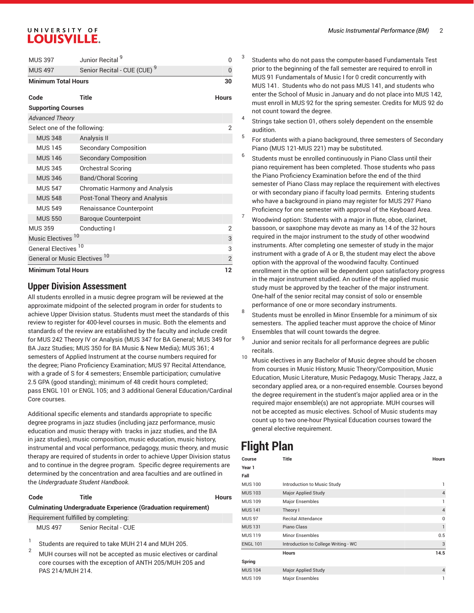### UNIVERSITY OF **LOUISVILLE.**

| <b>MUS 397</b>                           | Junior Recital <sup>9</sup>             | O              |
|------------------------------------------|-----------------------------------------|----------------|
| <b>MUS 497</b>                           | Senior Recital - CUE (CUE) <sup>9</sup> | 0              |
| <b>Minimum Total Hours</b>               |                                         | 30             |
| Code                                     | Title                                   | <b>Hours</b>   |
| <b>Supporting Courses</b>                |                                         |                |
| <b>Advanced Theory</b>                   |                                         |                |
| Select one of the following:             |                                         | 2              |
| <b>MUS 348</b>                           | Analysis II                             |                |
| <b>MUS 145</b>                           | <b>Secondary Composition</b>            |                |
| <b>MUS 146</b>                           | <b>Secondary Composition</b>            |                |
| <b>MUS 345</b>                           | <b>Orchestral Scoring</b>               |                |
| <b>MUS 346</b>                           | <b>Band/Choral Scoring</b>              |                |
| <b>MUS 547</b>                           | <b>Chromatic Harmony and Analysis</b>   |                |
| <b>MUS 548</b>                           | Post-Tonal Theory and Analysis          |                |
| <b>MUS 549</b>                           | Renaissance Counterpoint                |                |
| <b>MUS 550</b>                           | <b>Baroque Counterpoint</b>             |                |
| <b>MUS 359</b>                           | Conducting I                            | 2              |
| Music Electives <sup>10</sup>            |                                         | 3              |
| General Electives <sup>10</sup>          |                                         | 3              |
| General or Music Electives <sup>10</sup> |                                         | $\overline{2}$ |
| <b>Minimum Total Hours</b>               |                                         | 12             |

### **Upper Division Assessment**

All students enrolled in a music degree program will be reviewed at the approximate midpoint of the selected program in order for students to achieve Upper Division status. Students must meet the standards of this review to register for 400-level courses in music. Both the elements and standards of the review are established by the faculty and include credit for MUS 242 Theory IV or Analysis (MUS 347 for BA General; MUS 349 for BA Jazz Studies; MUS 350 for BA Music & New Media); MUS 361; 4 semesters of Applied Instrument at the course numbers required for the degree; Piano Proficiency Examination; MUS 97 Recital Attendance, with a grade of S for 4 semesters; Ensemble participation; cumulative 2.5 GPA (good standing); minimum of 48 credit hours completed; pass ENGL 101 or ENGL 105; and 3 additional General Education/Cardinal Core courses.

Additional specific elements and standards appropriate to specific degree programs in jazz studies (including jazz performance, music education and music therapy with tracks in jazz studies, and the BA in jazz studies), music composition, music education, music history, instrumental and vocal performance, pedagogy, music theory, and music therapy are required of students in order to achieve Upper Division status and to continue in the degree program. Specific degree requirements are determined by the concentration and area faculties and are outlined in the *Undergraduate Student Handbook*.

#### **Code Title Hours**

### **Culminating Undergraduate Experience (Graduation requirement)**

Requirement fulfilled by completing:

MUS 497 Senior Recital - CUE

1 Students are required to take MUH 214 and MUH 205.

 $2^{2}$  MUH courses will not be accepted as music electives or cardinal core courses with the exception of ANTH 205/MUH 205 and PAS 214/MUH 214.

Students who do not pass the computer-based Fundamentals Test prior to the beginning of the fall semester are required to enroll in MUS 91 Fundamentals of Music I for 0 credit concurrently with MUS 141. Students who do not pass MUS 141, and students who enter the School of Music in January and do not place into MUS 142, must enroll in MUS 92 for the spring semester. Credits for MUS 92 do not count toward the degree.

- 4 Strings take section 01, others solely dependent on the ensemble audition.
- 5 For students with a piano background, three semesters of Secondary Piano (MUS 121-MUS 221) may be substituted.
- 6 Students must be enrolled continuously in Piano Class until their piano requirement has been completed. Those students who pass the Piano Proficiency Examination before the end of the third semester of Piano Class may replace the requirement with electives or with secondary piano if faculty load permits. Entering students who have a background in piano may register for MUS 297 Piano Proficiency for one semester with approval of the Keyboard Area.
- Woodwind option: Students with a major in flute, oboe, clarinet, bassoon, or saxophone may devote as many as 14 of the 32 hours required in the major instrument to the study of other woodwind instruments. After completing one semester of study in the major instrument with a grade of A or B, the student may elect the above option with the approval of the woodwind faculty. Continued enrollment in the option will be dependent upon satisfactory progress in the major instrument studied. An outline of the applied music study must be approved by the teacher of the major instrument. One-half of the senior recital may consist of solo or ensemble performance of one or more secondary instruments.
- 8 Students must be enrolled in Minor Ensemble for a minimum of six semesters. The applied teacher must approve the choice of Minor Ensembles that will count towards the degree.
- 9 Junior and senior recitals for all performance degrees are public recitals.
- <sup>10</sup> Music electives in any Bachelor of Music degree should be chosen from courses in Music History, Music Theory/Composition, Music Education, Music Literature, Music Pedagogy, Music Therapy, Jazz, a secondary applied area, or a non-required ensemble. Courses beyond the degree requirement in the student's major applied area or in the required major ensemble(s) are not appropriate. MUH courses will not be accepted as music electives. School of Music students may count up to two one-hour Physical Education courses toward the general elective requirement.

## **Flight Plan**

3

| Course          | Title                                | <b>Hours</b>   |
|-----------------|--------------------------------------|----------------|
| Year 1          |                                      |                |
| Fall            |                                      |                |
| <b>MUS 100</b>  | Introduction to Music Study          | 1              |
| <b>MUS 103</b>  | <b>Major Applied Study</b>           | $\overline{4}$ |
| <b>MUS 109</b>  | <b>Major Ensembles</b>               |                |
| <b>MUS 141</b>  | Theory I                             | $\overline{4}$ |
| <b>MUS 97</b>   | <b>Recital Attendance</b>            | 0              |
| <b>MUS 131</b>  | Piano Class                          | 1              |
| <b>MUS 119</b>  | Minor Ensembles                      | 0.5            |
| <b>ENGL 101</b> | Introduction to College Writing - WC | 3              |
|                 | <b>Hours</b>                         | 14.5           |
| Spring          |                                      |                |
| <b>MUS 104</b>  | <b>Major Applied Study</b>           | $\overline{4}$ |
| <b>MUS 109</b>  | <b>Major Ensembles</b>               |                |